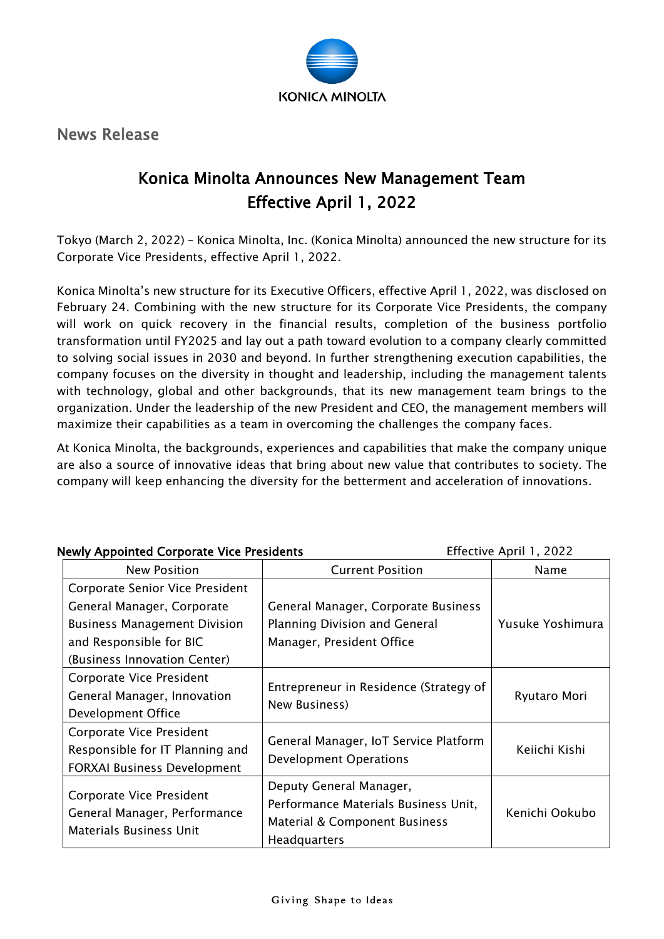

News Release

## Konica Minolta Announces New Management Team Effective April 1, 2022

Tokyo (March 2, 2022) – Konica Minolta, Inc. (Konica Minolta) announced the new structure for its Corporate Vice Presidents, effective April 1, 2022.

Konica Minolta's new structure for its Executive Officers, effective April 1, 2022, was disclosed on February 24. Combining with the new structure for its Corporate Vice Presidents, the company will work on quick recovery in the financial results, completion of the business portfolio transformation until FY2025 and lay out a path toward evolution to a company clearly committed to solving social issues in 2030 and beyond. In further strengthening execution capabilities, the company focuses on the diversity in thought and leadership, including the management talents with technology, global and other backgrounds, that its new management team brings to the organization. Under the leadership of the new President and CEO, the management members will maximize their capabilities as a team in overcoming the challenges the company faces.

At Konica Minolta, the backgrounds, experiences and capabilities that make the company unique are also a source of innovative ideas that bring about new value that contributes to society. The company will keep enhancing the diversity for the betterment and acceleration of innovations.

| <b>Newly Appointed Corporate Vice Presidents</b>                                           |                                        | Effective April 1, 2022 |
|--------------------------------------------------------------------------------------------|----------------------------------------|-------------------------|
| <b>New Position</b>                                                                        | <b>Current Position</b>                | Name                    |
| Corporate Senior Vice President                                                            |                                        |                         |
| General Manager, Corporate                                                                 | General Manager, Corporate Business    |                         |
| <b>Business Management Division</b>                                                        | Planning Division and General          | Yusuke Yoshimura        |
| and Responsible for BIC                                                                    | Manager, President Office              |                         |
| (Business Innovation Center)                                                               |                                        |                         |
| Corporate Vice President                                                                   |                                        | Ryutaro Mori            |
| General Manager, Innovation                                                                | Entrepreneur in Residence (Strategy of |                         |
| Development Office                                                                         | New Business)                          |                         |
| Corporate Vice President                                                                   |                                        |                         |
| Responsible for IT Planning and                                                            | General Manager, IoT Service Platform  | Keiichi Kishi           |
| <b>FORXAI Business Development</b>                                                         | <b>Development Operations</b>          |                         |
|                                                                                            | Deputy General Manager,                |                         |
| Corporate Vice President<br>General Manager, Performance<br><b>Materials Business Unit</b> | Performance Materials Business Unit,   | Kenichi Ookubo          |
|                                                                                            | Material & Component Business          |                         |
|                                                                                            | Headquarters                           |                         |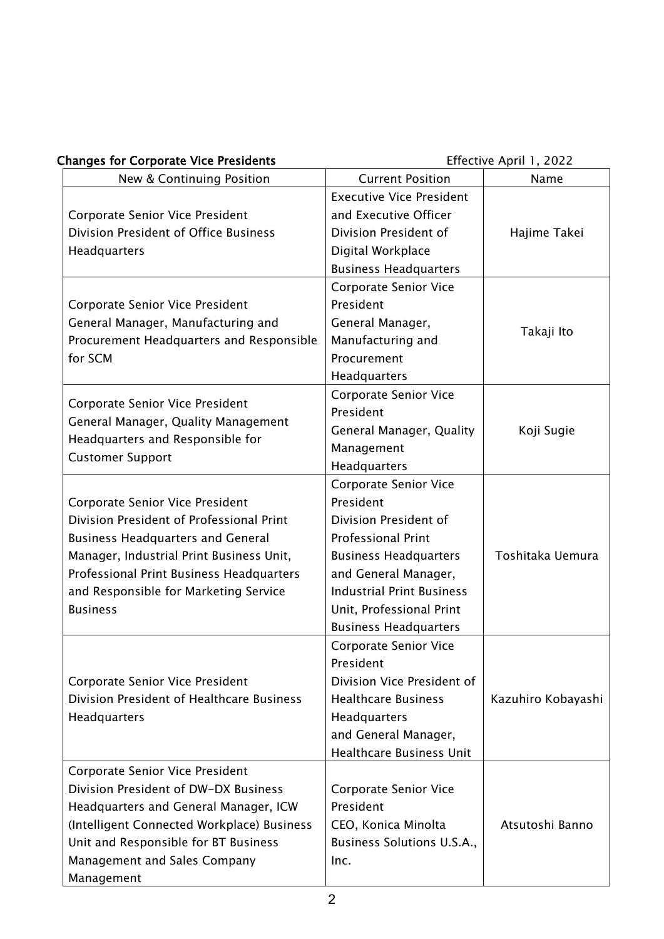| <b>Changes for Corporate Vice Presidents</b>                            |                                  | Effective April 1, 2022 |
|-------------------------------------------------------------------------|----------------------------------|-------------------------|
| New & Continuing Position                                               | <b>Current Position</b>          | Name                    |
|                                                                         | <b>Executive Vice President</b>  |                         |
| Corporate Senior Vice President                                         | and Executive Officer            |                         |
| Division President of Office Business                                   | Division President of            | Hajime Takei            |
| Headquarters                                                            | Digital Workplace                |                         |
|                                                                         | <b>Business Headquarters</b>     |                         |
|                                                                         | <b>Corporate Senior Vice</b>     |                         |
| Corporate Senior Vice President                                         | President                        |                         |
| General Manager, Manufacturing and                                      | General Manager,                 | Takaji Ito              |
| Procurement Headquarters and Responsible                                | Manufacturing and                |                         |
| for SCM                                                                 | Procurement                      |                         |
|                                                                         | Headquarters                     |                         |
| Corporate Senior Vice President                                         | Corporate Senior Vice            |                         |
|                                                                         | President                        |                         |
| General Manager, Quality Management<br>Headquarters and Responsible for | General Manager, Quality         | Koji Sugie              |
|                                                                         | Management                       |                         |
| <b>Customer Support</b>                                                 | Headquarters                     |                         |
|                                                                         | <b>Corporate Senior Vice</b>     |                         |
| Corporate Senior Vice President                                         | President                        |                         |
| Division President of Professional Print                                | Division President of            |                         |
| <b>Business Headquarters and General</b>                                | <b>Professional Print</b>        |                         |
| Manager, Industrial Print Business Unit,                                | <b>Business Headquarters</b>     | Toshitaka Uemura        |
| Professional Print Business Headquarters                                | and General Manager,             |                         |
| and Responsible for Marketing Service                                   | <b>Industrial Print Business</b> |                         |
| <b>Business</b>                                                         | Unit, Professional Print         |                         |
|                                                                         | <b>Business Headquarters</b>     |                         |
|                                                                         | <b>Corporate Senior Vice</b>     |                         |
|                                                                         | President                        |                         |
| Corporate Senior Vice President                                         | Division Vice President of       |                         |
| Division President of Healthcare Business                               | <b>Healthcare Business</b>       | Kazuhiro Kobayashi      |
| Headquarters                                                            | Headquarters                     |                         |
|                                                                         | and General Manager,             |                         |
|                                                                         | <b>Healthcare Business Unit</b>  |                         |
| Corporate Senior Vice President                                         |                                  |                         |
| Division President of DW-DX Business                                    | Corporate Senior Vice            |                         |
| Headquarters and General Manager, ICW                                   | President                        |                         |
| (Intelligent Connected Workplace) Business                              | CEO, Konica Minolta              | Atsutoshi Banno         |
| Unit and Responsible for BT Business                                    | Business Solutions U.S.A.,       |                         |
| Management and Sales Company                                            | Inc.                             |                         |
| Management                                                              |                                  |                         |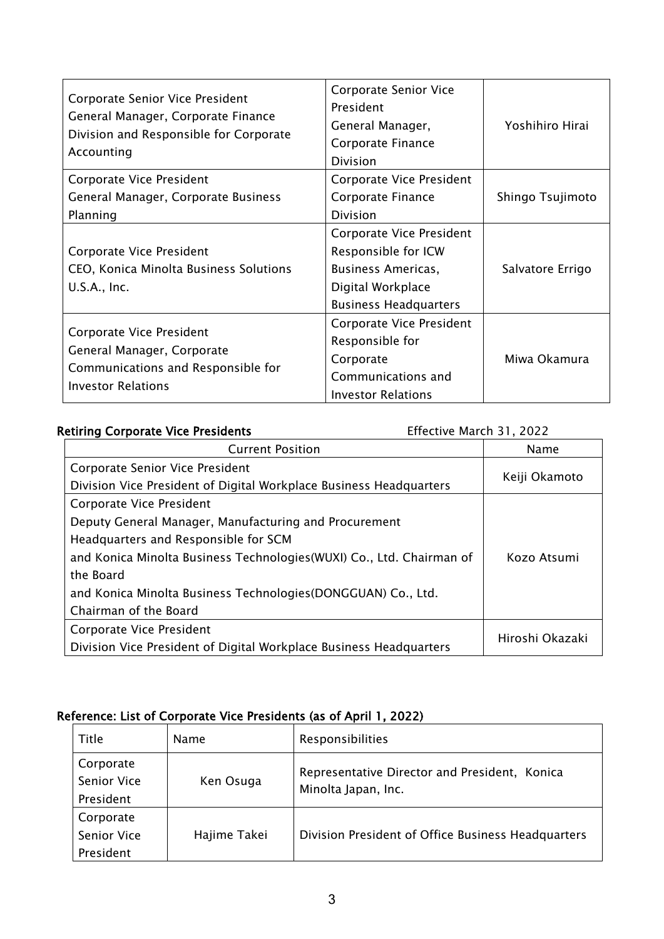| Corporate Senior Vice President<br>General Manager, Corporate Finance<br>Division and Responsible for Corporate<br>Accounting | Corporate Senior Vice<br>President<br>General Manager,<br>Corporate Finance<br>Division | Yoshihiro Hirai  |
|-------------------------------------------------------------------------------------------------------------------------------|-----------------------------------------------------------------------------------------|------------------|
| Corporate Vice President                                                                                                      | Corporate Vice President                                                                |                  |
| General Manager, Corporate Business                                                                                           | Corporate Finance                                                                       | Shingo Tsujimoto |
| Planning                                                                                                                      | Division                                                                                |                  |
|                                                                                                                               | Corporate Vice President                                                                |                  |
| Corporate Vice President                                                                                                      | Responsible for ICW                                                                     |                  |
| CEO, Konica Minolta Business Solutions                                                                                        | <b>Business Americas,</b>                                                               | Salvatore Errigo |
| $U.S.A.,$ Inc.                                                                                                                | Digital Workplace                                                                       |                  |
|                                                                                                                               | <b>Business Headquarters</b>                                                            |                  |
| Corporate Vice President<br>General Manager, Corporate<br>Communications and Responsible for                                  | Corporate Vice President<br>Responsible for<br>Corporate<br>Communications and          | Miwa Okamura     |
| <b>Investor Relations</b>                                                                                                     | <b>Investor Relations</b>                                                               |                  |

## Retiring Corporate Vice Presidents **Effective March 31, 2022**

| <b>Current Position</b>                                               | <b>Name</b>     |
|-----------------------------------------------------------------------|-----------------|
| Corporate Senior Vice President                                       |                 |
| Division Vice President of Digital Workplace Business Headquarters    | Keiji Okamoto   |
| Corporate Vice President                                              |                 |
| Deputy General Manager, Manufacturing and Procurement                 |                 |
| Headquarters and Responsible for SCM                                  |                 |
| and Konica Minolta Business Technologies (WUXI) Co., Ltd. Chairman of | Kozo Atsumi     |
| the Board                                                             |                 |
| and Konica Minolta Business Technologies (DONGGUAN) Co., Ltd.         |                 |
| Chairman of the Board                                                 |                 |
| Corporate Vice President                                              | Hiroshi Okazaki |
| Division Vice President of Digital Workplace Business Headquarters    |                 |

## Reference: List of Corporate Vice Presidents (as of April 1, 2022)

| Title                           | <b>Name</b>  | Responsibilities                                                     |
|---------------------------------|--------------|----------------------------------------------------------------------|
| Corporate<br><b>Senior Vice</b> | Ken Osuga    | Representative Director and President, Konica<br>Minolta Japan, Inc. |
| President<br>Corporate          |              |                                                                      |
| Senior Vice                     | Hajime Takei | Division President of Office Business Headquarters                   |
| President                       |              |                                                                      |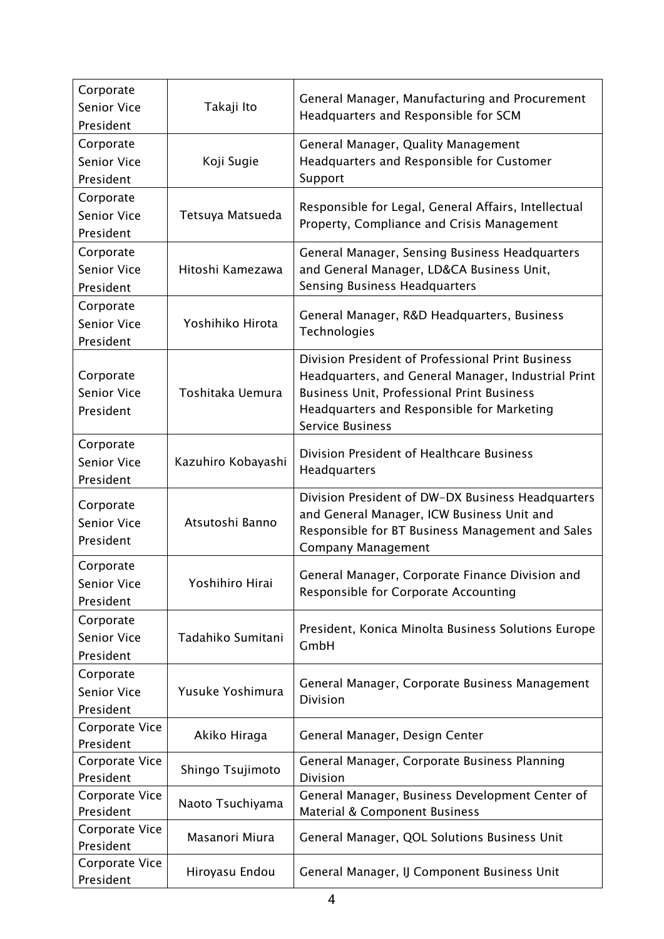| Corporate<br><b>Senior Vice</b><br>President | Takaji Ito         | General Manager, Manufacturing and Procurement<br>Headquarters and Responsible for SCM                                                                                                                                                 |
|----------------------------------------------|--------------------|----------------------------------------------------------------------------------------------------------------------------------------------------------------------------------------------------------------------------------------|
| Corporate<br><b>Senior Vice</b><br>President | Koji Sugie         | General Manager, Quality Management<br>Headquarters and Responsible for Customer<br>Support                                                                                                                                            |
| Corporate<br><b>Senior Vice</b><br>President | Tetsuya Matsueda   | Responsible for Legal, General Affairs, Intellectual<br>Property, Compliance and Crisis Management                                                                                                                                     |
| Corporate<br><b>Senior Vice</b><br>President | Hitoshi Kamezawa   | General Manager, Sensing Business Headquarters<br>and General Manager, LD&CA Business Unit,<br><b>Sensing Business Headquarters</b>                                                                                                    |
| Corporate<br><b>Senior Vice</b><br>President | Yoshihiko Hirota   | General Manager, R&D Headquarters, Business<br>Technologies                                                                                                                                                                            |
| Corporate<br><b>Senior Vice</b><br>President | Toshitaka Uemura   | Division President of Professional Print Business<br>Headquarters, and General Manager, Industrial Print<br><b>Business Unit, Professional Print Business</b><br>Headquarters and Responsible for Marketing<br><b>Service Business</b> |
| Corporate<br><b>Senior Vice</b><br>President | Kazuhiro Kobayashi | Division President of Healthcare Business<br>Headquarters                                                                                                                                                                              |
| Corporate<br><b>Senior Vice</b><br>President | Atsutoshi Banno    | Division President of DW-DX Business Headquarters<br>and General Manager, ICW Business Unit and<br>Responsible for BT Business Management and Sales<br><b>Company Management</b>                                                       |
| Corporate<br>Senior Vice<br>President        | Yoshihiro Hirai    | General Manager, Corporate Finance Division and<br>Responsible for Corporate Accounting                                                                                                                                                |
| Corporate<br><b>Senior Vice</b><br>President | Tadahiko Sumitani  | President, Konica Minolta Business Solutions Europe<br>GmbH                                                                                                                                                                            |
| Corporate<br>Senior Vice<br>President        | Yusuke Yoshimura   | General Manager, Corporate Business Management<br><b>Division</b>                                                                                                                                                                      |
| Corporate Vice<br>President                  | Akiko Hiraga       | General Manager, Design Center                                                                                                                                                                                                         |
| Corporate Vice<br>President                  | Shingo Tsujimoto   | General Manager, Corporate Business Planning<br><b>Division</b>                                                                                                                                                                        |
| Corporate Vice<br>President                  | Naoto Tsuchiyama   | General Manager, Business Development Center of<br>Material & Component Business                                                                                                                                                       |
| Corporate Vice<br>President                  | Masanori Miura     | General Manager, QOL Solutions Business Unit                                                                                                                                                                                           |
| Corporate Vice<br>President                  | Hiroyasu Endou     | General Manager, IJ Component Business Unit                                                                                                                                                                                            |